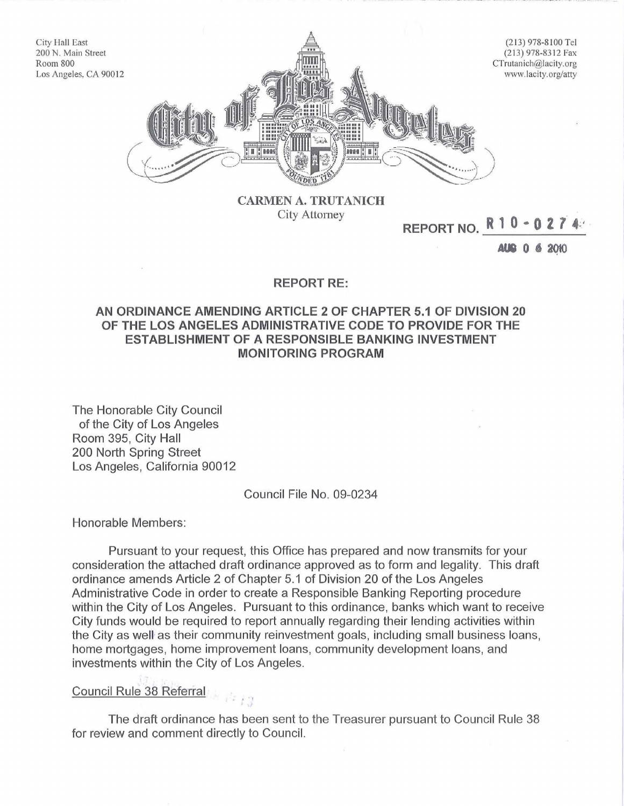

CARMEN A. TRUTANICH City Attomey

# **REPORT NO. <sup>R</sup>** <sup>1</sup> <sup>0</sup> • <sup>0</sup> <sup>2</sup> *t* 4·" .

AU8 0 6 2QtO

## **REPORT RE:**

# **AN ORDINANCE AMENDING ARTICLE 2 OF CHAPTER 5.1 OF DIVISION 20 OF THE LOS ANGELES ADMINISTRATIVE CODE TO PROVIDE FOR THE ESTABLISHMENT OF A RESPONSIBLE BANKING INVESTMENT MONITORING PROGRAM**

The Honorable City Council of the City of Los Angeles Room 395, City Hall 200 North Spring Street Los Angeles, California 90012

#### Council File No. 09-0234

Honorable Members:

City Hall East

Room 800

Pursuant to your request, this Office has prepared and now transmits for your consideration the attached draft ordinance approved as to form and legality. This draft ordinance amends Article 2 of Chapter 5.1 of Division 20 of the Los Angeles Administrative Code in order to create a Responsible Banking Reporting procedure within the City of Los Angeles. Pursuant to this ordinance, banks which want to receive City funds would be required to report annually regarding their lending activities within the City as well as their community reinvestment goals, including small business loans, home mortgages, home improvement loans, community development loans, and investments within the City of Los Angeles.

#### Council Rule 38 Referral

The draft ordinance has been sent to the Treasurer pursuant to Council Rule 38 for review and comment directly to Council.

 $\times R_{13}$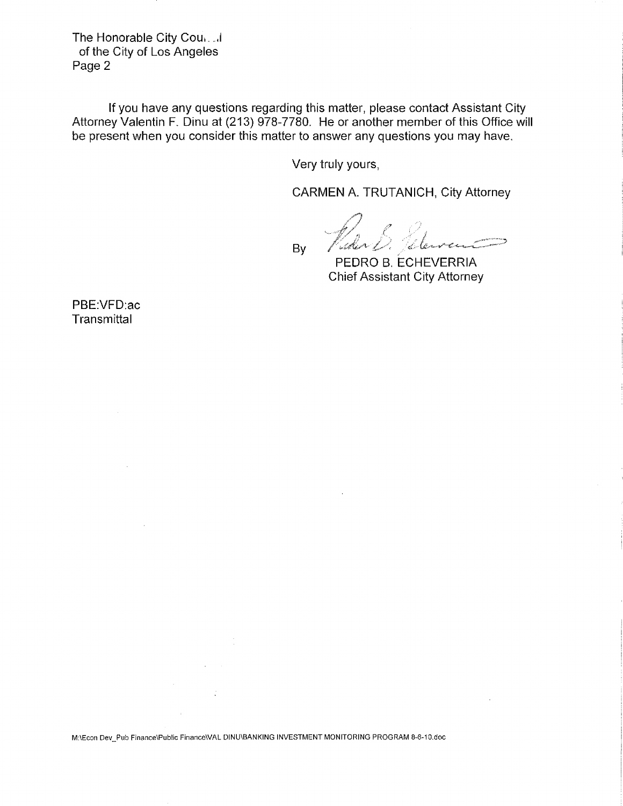The Honorable City Cou, ... of the City of Los Angeles Page 2

**If** you have any questions regarding this matter, please contact Assistant City Attorney Valentin F. Dinu at (213) 978-7780. He or another member of this Office will be present when you consider this matter to answer any questions you may have.

Very truly yours,

CARMEN A. TRUTANICH, City Attorney

Vider B. Peterse By

PEDRO B. ECHEVERRIA Chief Assistant City Attorney

PBE:VFD:ac **Transmittal** 

M:\Econ Dev\_Pub Finance\Public FinanceWAL DINU\BANKING INVESTMENT MONITORING PROGRAM 8-6-10.doc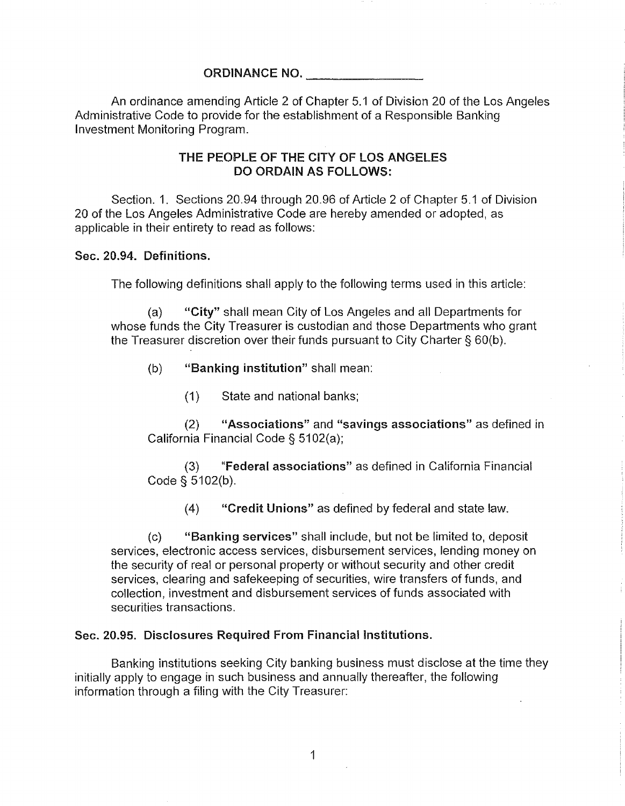# ORDINANCE NO. \_

An ordinance amending Article 2 of Chapter 5.1 of Division 20 of the Los Angeles Administrative Code to provide for the establishment of a Responsible Banking Investment Monitoring Program.

# THE PEOPLE OF THE CITY OF LOS ANGELES DO ORDAIN AS FOLLOWS:

Section. 1. Sections 20.94 through 20.96 of Article 2 of Chapter 5.1 of Division 20 of the Los Angeles Administrative Code are hereby amended or adopted, as applicable in their entirety to read as follows:

## Sec. 20.94. Definitions.

The following definitions shall apply to the following terms used in this article:

(a) "City" shall mean City of Los Angeles and all Departments for whose funds the City Treasurer is custodian and those Departments who grant the Treasurer discretion over their funds pursuant to City Charter § 60(b).

- (b) "Banking institution" shall mean:
	- (1) State and national banks;

(2) "Associations" and "savings associations" as defined in California Financial Code § 5102(a);

(3) "Federal associations" as defined in California Financial Code § 5102(b).

(4) "Credit Unions" as defined by federal and state law.

(c) "Banking services" shall include, but not be limited to, deposit services, electronic access services, disbursement services, lending money on the security of real or personal property or without security and other credit services, clearing and safekeeping of securities, wire transfers of funds, and collection, investment and disbursement services of funds associated with securities transactions.

# Sec. 20.95. Disclosures Required From Financial Institutions.

Banking institutions seeking City banking business must disclose at the time they initially apply to engage in such business and annually thereafter, the following information through a filing with the City Treasurer:

1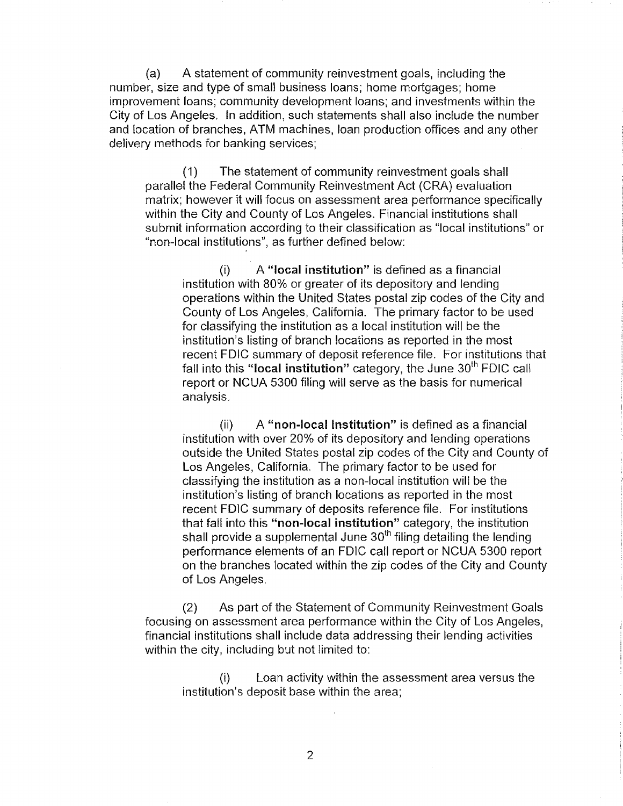(a) A statement of community reinvestment goals, including the number, size and type of small business loans; home mortgages; home improvement loans; community development loans; and investments within the City of Los Angeles. In addition, such statements shall also include the number and location of branches, ATM machines, loan production offices and any other delivery methods for banking services;

(1) The statement of community reinvestment goals shall parallel the Federal Community Reinvestment Act (CRA) evaluation matrix; however it will focus on assessment area performance specifically within the City and County of Los Angeles. Financial institutions shall submit information according to their classification as "local institutions" or "non-local institutions", as further defined below:

(i) A "local institution" is defined as a financial institution with 80% or greater of its depository and lending operations within the United States postal zip codes of the City and County of Los Angeles, California. The primary factor to be used for classifying the institution as a local institution will be the institution's listing of branch locations as reported in the most recent FDIC summary of deposit reference file. For institutions that fall into this "local institution" category, the June  $30<sup>th</sup>$  FDIC call report or NCUA 5300 filing will serve as the basis for numerical analysis.

(ii) A "non-local Institution" is defined as a financial institution with over 20% of its depository and lending operations outside the United States postal zip codes of the City and County of Los Angeles, California. The primary factor to be used for classifying the institution as a non-local institution will be the institution's listing of branch locations as reported in the most recent FDIC summary of deposits reference file. For institutions that fall into this "non-local institution" category, the institution shall provide a supplemental June  $30<sup>th</sup>$  filing detailing the lending performance elements of an FDIC call report or NCUA 5300 report on the branches located within the zip codes of the City and County of Los Angeles.

(2) As part of the Statement of Community Reinvestment Goals focusing on assessment area performance within the City of Los Angeles, financial institutions shall include data addressing their lending activities within the city, including but not limited to:

(i) Loan activity within the assessment area versus the institution's deposit base within the area;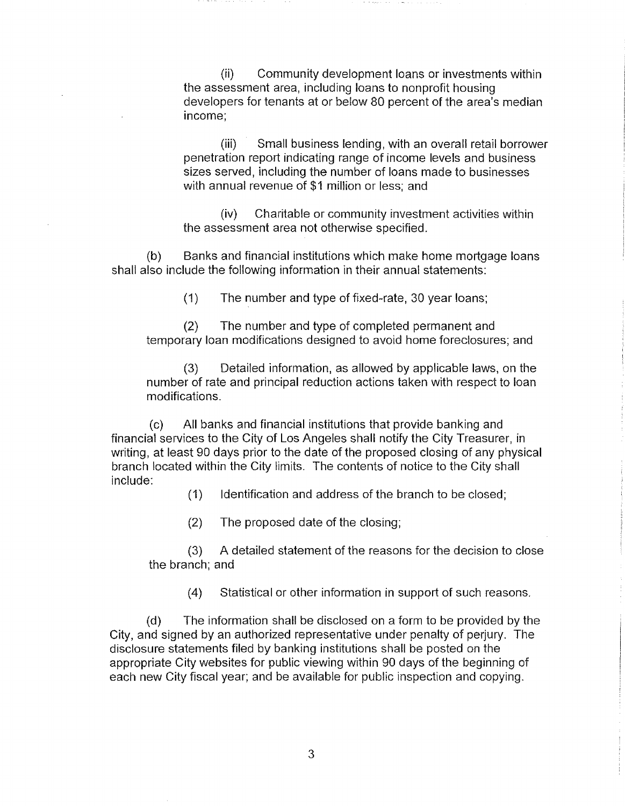(ii) Community development loans or investments within the assessment area, including loans to nonprofit housing developers for tenants at or below 80 percent of the area's median income;

(iii) Small business lending, with an overall retail borrower penetration report indicating range of income levels and business sizes served, including the number of loans made to businesses with annual revenue of \$1 million or less; and

(iv) Charitable or community investment activities within the assessment area not otherwise specified.

(b) Banks and financial institutions which make home mortgage loans shall also include the following information in their annual statements:

(1) The number and type of fixed-rate, 30 year loans;

(2) The number and type of completed permanent and temporary loan modifications designed to avoid home foreclosures; and

(3) Detailed information, as allowed by applicable laws, on the number of rate and principal reduction actions taken with respect to loan modifications.

(c) All banks and financial institutions that provide banking and financial services to the City of Los Angeles shall notify the City Treasurer, in writing, at least 90 days prior to the date of the proposed closing of any physical branch located within the City limits. The contents of notice to the City shall include:

(1) Identification and address of the branch to be closed:

(2) The proposed date of the closing;

(3) A detailed statement of the reasons for the decision to close the branch; and

(4) Statistical or other information in support of such reasons.

(d) The information shall be disclosed on a form to be provided by the City, and signed by an authorized representative under penalty of perjury. The disclosure statements filed by banking institutions shall be posted on the appropriate City websites for public viewing within 90 days of the beginning of each new City fiscal year; and be available for public inspection and copying.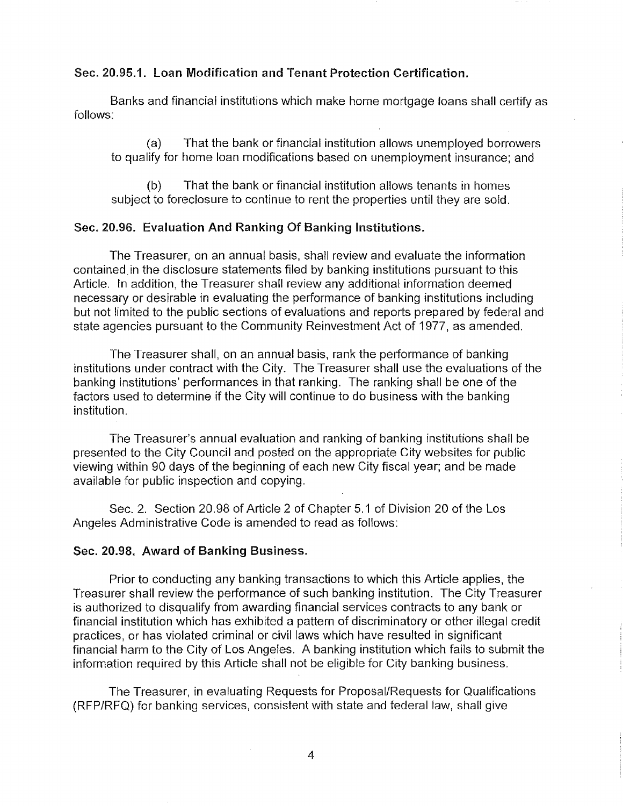## Sec. 20.95.1. Loan Modification and Tenant Protection Certification.

Banks and financial institutions which make home mortgage loans shall certify as follows:

(a) That the bank or financial institution allows unemployed borrowers to qualify for home loan modifications based on unemployment insurance; and

(b) That the bank or financial institution allows tenants in homes subiect to foreclosure to continue to rent the properties until they are sold.

#### Sec. 20.96. Evaluation And Ranking Of Banking Institutions.

The Treasurer, on an annual basis, shall review and evaluate the information contained in the disclosure statements filed by banking institutions pursuant to this Article. In addition, the Treasurer shall review any additional information deemed necessary or desirable in evaluating the performance of banking institutions including but not limited to the public sections of evaluations and reports prepared by federal and state agencies pursuant to the Community Reinvestment Act of 1977, as amended.

The Treasurer shall, on an annual basis, rank the performance of banking institutions under contract with the City. The Treasurer shall use the evaluations of the banking institutions' performances in that ranking. The ranking shall be one of the factors used to determine if the City will continue to do business with the banking institution.

The Treasurer's annual evaluation and ranking of banking institutions shall be presented to the City Council and posted on the appropriate City websites for public viewing within 90 days of the beginning of each new City fiscal year; and be made available for public inspection and copying.

Sec. 2. Section 20.98 of Article 2 of Chapter 5.1 of Division 20 of the Los Angeles Administrative Code is amended to read as follows:

#### Sec. 20.98. Award of Banking Business.

Prior to conducting any banking transactions to which this Article applies, the Treasurer shall review the performance of such banking institution. The City Treasurer is authorized to disqualify from awarding financial services contracts to any bank or financial institution which has exhibited a pattern of discriminatory or other illegal credit practices, or has violated criminal or civil laws which have resulted in significant financial harm to the City of Los Angeles. A banking institution which fails to submit the information required by this Article shall not be eligible for City banking business.

The Treasurer, in evaluating Requests for Proposal/Requests for Qualifications (RFP/RFQ) for banking services, consistent with state and federal law, shall give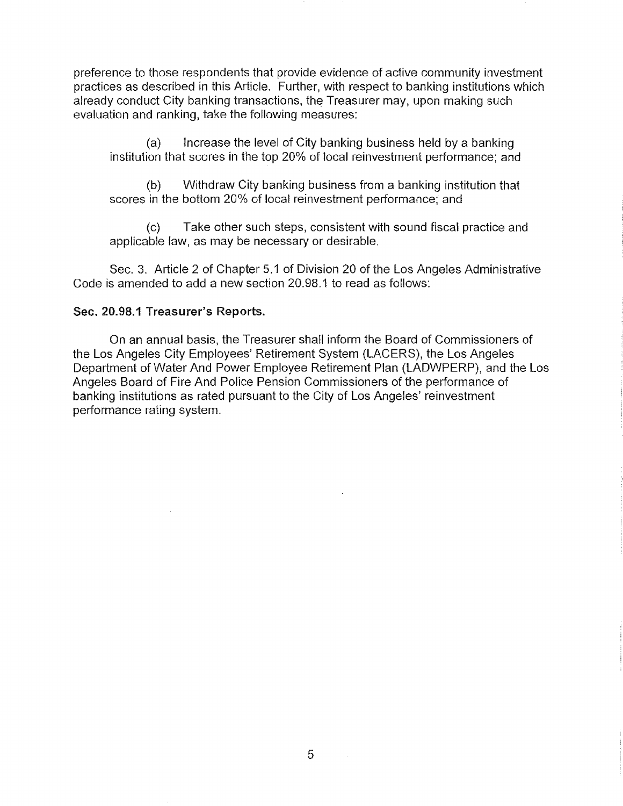preference to those respondents that provide evidence of active community investment practices as described in this Article. Further, with respect to banking institutions which already conduct City banking transactions, the Treasurer may, upon making such evaluation and ranking, take the following measures:

(a) Increase the level of City banking business held by a banking institution that scores in the top 20% of local reinvestment performance; and

(b) Withdraw City banking business from a banking institution that scores in the bottom 20% of local reinvestment performance; and

(c) Take other such steps, consistent with sound fiscal practice and applicable law, as may be necessary or desirable.

Sec. 3. Article 2 of Chapter 5.1 of Division 20 of the Los Angeles Administrative Code is amended to add a new section 20.98.1 to read as follows:

## Sec. 20.98.1 Treasurer's Reports.

On an annual basis, the Treasurer shall inform the Board of Commissioners of the Los Angeles City Employees' Retirement System (LACERS), the Los Angeles Department of Water And Power Employee Retirement Plan (LADWPERP), and the Los Angeles Board of Fire And Police Pension Commissioners of the performance of banking institutions as rated pursuant to the City of Los Angeles' reinvestment performance rating system.